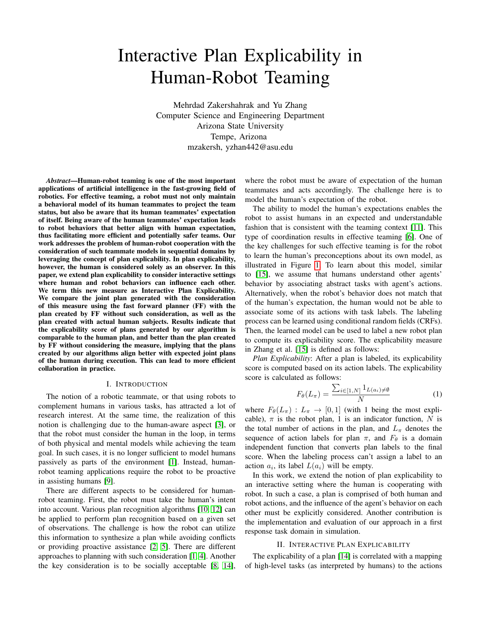# Interactive Plan Explicability in Human-Robot Teaming

Mehrdad Zakershahrak and Yu Zhang Computer Science and Engineering Department Arizona State University Tempe, Arizona mzakersh, yzhan442@asu.edu

*Abstract*—Human-robot teaming is one of the most important applications of artificial intelligence in the fast-growing field of robotics. For effective teaming, a robot must not only maintain a behavioral model of its human teammates to project the team status, but also be aware that its human teammates' expectation of itself. Being aware of the human teammates' expectation leads to robot behaviors that better align with human expectation, thus facilitating more efficient and potentially safer teams. Our work addresses the problem of human-robot cooperation with the consideration of such teammate models in sequential domains by leveraging the concept of plan explicability. In plan explicability, however, the human is considered solely as an observer. In this paper, we extend plan explicability to consider interactive settings where human and robot behaviors can influence each other. We term this new measure as Interactive Plan Explicability. We compare the joint plan generated with the consideration of this measure using the fast forward planner (FF) with the plan created by FF without such consideration, as well as the plan created with actual human subjects. Results indicate that the explicability score of plans generated by our algorithm is comparable to the human plan, and better than the plan created by FF without considering the measure, implying that the plans created by our algorithms align better with expected joint plans of the human during execution. This can lead to more efficient collaboration in practice.

## I. INTRODUCTION

The notion of a robotic teammate, or that using robots to complement humans in various tasks, has attracted a lot of research interest. At the same time, the realization of this notion is challenging due to the human-aware aspect [\[3\]](#page-3-0), or that the robot must consider the human in the loop, in terms of both physical and mental models while achieving the team goal. In such cases, it is no longer sufficient to model humans passively as parts of the environment [\[1\]](#page-3-1). Instead, humanrobot teaming applications require the robot to be proactive in assisting humans [\[9\]](#page-3-2).

There are different aspects to be considered for humanrobot teaming. First, the robot must take the human's intent into account. Various plan recognition algorithms [\[10,](#page-3-3) [12\]](#page-3-4) can be applied to perform plan recognition based on a given set of observations. The challenge is how the robot can utilize this information to synthesize a plan while avoiding conflicts or providing proactive assistance [\[2,](#page-3-5) [5\]](#page-3-6). There are different approaches to planning with such consideration [\[1,](#page-3-1) [4\]](#page-3-7). Another the key consideration is to be socially acceptable [\[8,](#page-3-8) [14\]](#page-3-9),

where the robot must be aware of expectation of the human teammates and acts accordingly. The challenge here is to model the human's expectation of the robot.

The ability to model the human's expectations enables the robot to assist humans in an expected and understandable fashion that is consistent with the teaming context [\[11\]](#page-3-10). This type of coordination results in effective teaming [\[6\]](#page-3-11). One of the key challenges for such effective teaming is for the robot to learn the human's preconceptions about its own model, as illustrated in Figure [1.](#page-1-0) To learn about this model, similar to [\[15\]](#page-3-12), we assume that humans understand other agents' behavior by associating abstract tasks with agent's actions. Alternatively, when the robot's behavior does not match that of the human's expectation, the human would not be able to associate some of its actions with task labels. The labeling process can be learned using conditional random fields (CRFs). Then, the learned model can be used to label a new robot plan to compute its explicability score. The explicability measure in Zhang et al. [\[15\]](#page-3-12) is defined as follows:

*Plan Explicability*: After a plan is labeled, its explicability score is computed based on its action labels. The explicability score is calculated as follows:

$$
F_{\theta}(L_{\pi}) = \frac{\sum_{i \in [1,N]} 1_{L(a_i) \neq \emptyset}}{N}
$$
 (1)

where  $F_{\theta}(L_{\pi}) : L_{\pi} \to [0, 1]$  (with 1 being the most explicable),  $\pi$  is the robot plan, 1 is an indicator function, N is the total number of actions in the plan, and  $L_{\pi}$  denotes the sequence of action labels for plan  $\pi$ , and  $F_{\theta}$  is a domain independent function that converts plan labels to the final score. When the labeling process can't assign a label to an action  $a_i$ , its label  $L(a_i)$  will be empty.

In this work, we extend the notion of plan explicability to an interactive setting where the human is cooperating with robot. In such a case, a plan is comprised of both human and robot actions, and the influence of the agent's behavior on each other must be explicitly considered. Another contribution is the implementation and evaluation of our approach in a first response task domain in simulation.

#### II. INTERACTIVE PLAN EXPLICABILITY

The explicability of a plan [\[14\]](#page-3-9) is correlated with a mapping of high-level tasks (as interpreted by humans) to the actions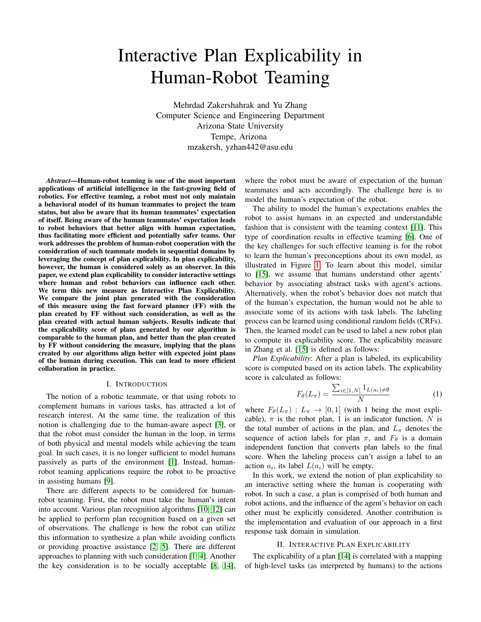

<span id="page-1-0"></span>Fig. 1. The robot's planning process is informed by an approximate human planning model as well as the robot's planning model.

performed by the robotic agent. The demand for generating explicable plans is due to the inconsistencies between the robot's model and the human's interpretation of the robot model. In our work, the robot creates composite plans for both the human and robot using an estimated human model and the robot's model, which can be considered as its prediction of the joint plan that the team is going to perform. At the same time, however, the human would also anticipate such a plan to achieve the same task, except with an estimated robot model and the human's own model.

Each problem in this domain can be expressed as a tuple  $P_T = \langle I, G, M_R, M_H, \Pi_C \rangle$ . In this tuple, I denotes the initial state of the planning problem, while  $G$  represents the shared goal of the team.  $M_R$  represents the actual robot model and  $M_H$  denotes the approximate human planning model provided to the robot. The actual human planning model  $M_H$  (that the human uses to create his own prediction of the joint plan) could be quite different from the model  $M_H$  provided to the robot. Similarly, the human will be using  $M_R$  that may be different from the actual robot model  $M_R$ . Finally  $\Pi_C$ represents a set of annotated plans that are provided as the training set for the CRF model.

To generate an explicable plan, the robot needs to synthesize a composite plan that is as close as possible to the plan that the human expects. This is an especially daunting challenge, given that we have multiple points of domain uncertainty (e.g. from  $\widetilde{M}_{H}$  and  $\widetilde{M}_{R}$ ). As shown in Figure [1,](#page-1-0) the robot only has access to  $M_H$  and  $M_R$ . Thus, the problem of generating explicable pan can be formulated as the following optimization problem:

$$
\underset{\pi_C}{\operatorname{argmin}} \max_{\pi_C \in \overline{M_H}} \operatorname{cost}(\pi_C^{M_R, \overline{M_H}}) + \alpha \cdot \operatorname{dist}(\pi_C^{M_R, \overline{M_H}}, \pi_C^{\overline{M_R}, M_H}) \quad (2)
$$

where  $\pi_C^{M_R, M_H}$  is the composite plan created by the robot using  $M_R$  and  $\widetilde{M_H}$ , while  $\pi_C^{M_R, M_H}$  is the composite plan that is assumed to be created by the human (the plan that the human expects). Similar to [\[14\]](#page-3-9), we assume that the distance function  $dist(\pi_C^{M_R, M_H}, \pi_C^{M_R, M_H})$  can be calculated as a function of labels of actions in  $\pi_C^{M_R, M_H}$ .

<span id="page-1-1"></span>
$$
argmin_{\pi_C^{M_R, \widetilde{M_H}}}
$$
cost $(\pi_C^{M_R, \widetilde{M_H}})$   
+  $\alpha \cdot F \circ L_{CRF}(\pi_C^{M_R, \widetilde{M_H}} \mid \{S_i \mid S_i = L^*(\pi_C)\})$  (3)

As shown in [\(3\)](#page-1-1), the label for each action is produced by a CRF model  $L_{CBF}$  trained on a set of labeled team execution traces  $(\pi_C)$ . Since we do not have access to the human model or the human's expectation of the robot model so that mispredictions are expected, we will rely on replanning when either the human deviates from the predicted plan of the robot.

To search for an explicable plan, we use a heuristic search method,  $f = q + h$ , where q is the cost of the plan prefix and  $h$  is calculated as shown in the following:

<span id="page-1-2"></span>
$$
h = (1.0 - F_{\theta}(L(state.path \# rp))) * | state.path \# rp | * | rp | + | rp |
$$
  
(4)

where  $\#$  means concatenation above and  $rp =$ relaxedPlan(state, Goal).

# III. EVALUATION

To evaluate our system, we tested it on a simulated first response domain, where a human-robot team is assigned to a first-response task after a disaster occurred. In this scenario, the human's task is to team up with a remote robot that is working on the disaster scene. The team goal is to search all the marked locations as fast as possible and the human's role is to help the robot by providing high-level guidance as to which marked location to visit next. The human peer has access to the floor plan of the scene before the disaster. However, some paths may be blocked due to the disaster that the human may not know about; the robot, however, can use its sensors to detect these changes. Due to these changes in the environment, the robot might not take the expected paths of the human.

For data collection, we implemented the discussed scenario by developing an interactive web application using MEAN (Mongo-Express-Angular-Node) stack.

In our setting, the robot would always follow the human's command (i.e., which room to visit next). The human can, of course, change the next room to be visited by the robot anytime during the task if necessary, simply by clicking on any of the marked locations. The robot uses BFS search to plan to visit the next room. After a room is visited, the human cannot click on the room anymore. Also, the robot always waits 1 second before performing the next action. For simplicity, the costs of all human and robot actions are the same.

### *A. Experimental Setup*

For training, after each robot action, the system asks the human whether the robot's action makes sense or not. If the human answers positively, that action is considered to be explicable. Otherwise, the action is considered to be inexplicable. This is used later as the labels for learning the model of interactive plan explicability. All scenarios were limited to four